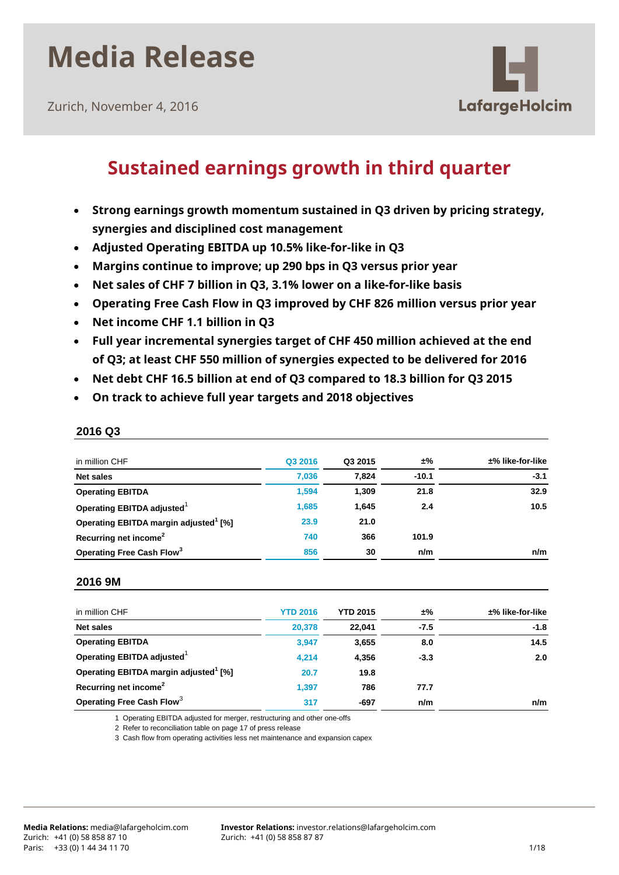Zurich, November 4, 2016



## **Sustained earnings growth in third quarter**

- **Strong earnings growth momentum sustained in Q3 driven by pricing strategy, synergies and disciplined cost management**
- **Adjusted Operating EBITDA up 10.5% like-for-like in Q3**
- **Margins continue to improve; up 290 bps in Q3 versus prior year**
- **Net sales of CHF 7 billion in Q3, 3.1% lower on a like-for-like basis**
- **Operating Free Cash Flow in Q3 improved by CHF 826 million versus prior year**
- **Net income CHF 1.1 billion in Q3**
- **Full year incremental synergies target of CHF 450 million achieved at the end of Q3; at least CHF 550 million of synergies expected to be delivered for 2016**
- **Net debt CHF 16.5 billion at end of Q3 compared to 18.3 billion for Q3 2015**
- **On track to achieve full year targets and 2018 objectives**

| in million CHF                                    | Q3 2016 | Q3 2015 | ±%      | ±% like-for-like |
|---------------------------------------------------|---------|---------|---------|------------------|
| Net sales                                         | 7.036   | 7.824   | $-10.1$ | $-3.1$           |
| <b>Operating EBITDA</b>                           | 1,594   | 1.309   | 21.8    | 32.9             |
| Operating EBITDA adjusted                         | 1.685   | 1.645   | 2.4     | 10.5             |
| Operating EBITDA margin adjusted <sup>1</sup> [%] | 23.9    | 21.0    |         |                  |
| Recurring net income <sup>2</sup>                 | 740     | 366     | 101.9   |                  |
| Operating Free Cash Flow <sup>3</sup>             | 856     | 30      | n/m     | n/m              |

### **2016 Q3**

#### **2016 9M**

| in million CHF                                    | <b>YTD 2016</b> | <b>YTD 2015</b> | ±%     | $±%$ like-for-like |
|---------------------------------------------------|-----------------|-----------------|--------|--------------------|
| <b>Net sales</b>                                  | 20.378          | 22.041          | $-7.5$ | $-1.8$             |
| <b>Operating EBITDA</b>                           | 3,947           | 3,655           | 8.0    | 14.5               |
| Operating EBITDA adjusted <sup>1</sup>            | 4.214           | 4,356           | $-3.3$ | 2.0                |
| Operating EBITDA margin adjusted <sup>1</sup> [%] | 20.7            | 19.8            |        |                    |
| Recurring net income <sup>2</sup>                 | 1.397           | 786             | 77.7   |                    |
| Operating Free Cash Flow <sup>3</sup>             | 317             | $-697$          | n/m    | n/m                |

1 Operating EBITDA adjusted for merger, restructuring and other one-offs

2 Refer to reconciliation table on page 17 of press release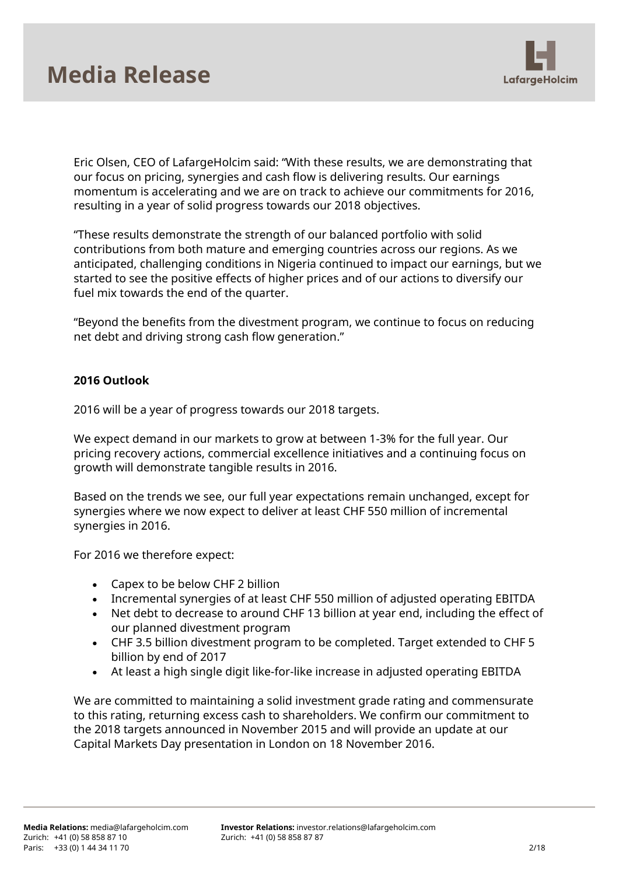

Eric Olsen, CEO of LafargeHolcim said: "With these results, we are demonstrating that our focus on pricing, synergies and cash flow is delivering results. Our earnings momentum is accelerating and we are on track to achieve our commitments for 2016, resulting in a year of solid progress towards our 2018 objectives.

"These results demonstrate the strength of our balanced portfolio with solid contributions from both mature and emerging countries across our regions. As we anticipated, challenging conditions in Nigeria continued to impact our earnings, but we started to see the positive effects of higher prices and of our actions to diversify our fuel mix towards the end of the quarter.

"Beyond the benefits from the divestment program, we continue to focus on reducing net debt and driving strong cash flow generation."

## **2016 Outlook**

2016 will be a year of progress towards our 2018 targets.

We expect demand in our markets to grow at between 1-3% for the full year. Our pricing recovery actions, commercial excellence initiatives and a continuing focus on growth will demonstrate tangible results in 2016.

Based on the trends we see, our full year expectations remain unchanged, except for synergies where we now expect to deliver at least CHF 550 million of incremental synergies in 2016.

For 2016 we therefore expect:

- Capex to be below CHF 2 billion
- Incremental synergies of at least CHF 550 million of adjusted operating EBITDA
- Net debt to decrease to around CHF 13 billion at year end, including the effect of our planned divestment program
- CHF 3.5 billion divestment program to be completed. Target extended to CHF 5 billion by end of 2017
- At least a high single digit like-for-like increase in adjusted operating EBITDA

We are committed to maintaining a solid investment grade rating and commensurate to this rating, returning excess cash to shareholders. We confirm our commitment to the 2018 targets announced in November 2015 and will provide an update at our Capital Markets Day presentation in London on 18 November 2016.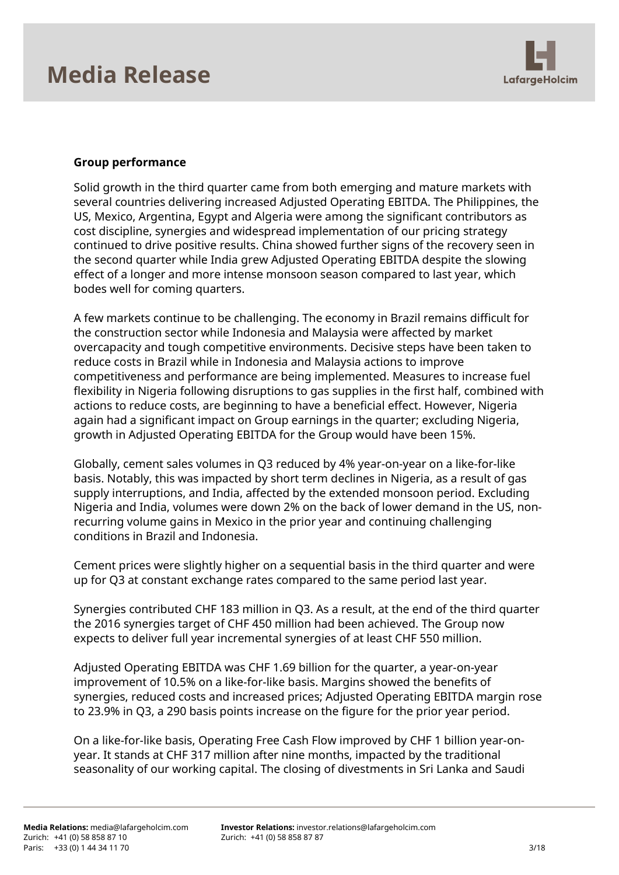

## **Group performance**

Solid growth in the third quarter came from both emerging and mature markets with several countries delivering increased Adjusted Operating EBITDA. The Philippines, the US, Mexico, Argentina, Egypt and Algeria were among the significant contributors as cost discipline, synergies and widespread implementation of our pricing strategy continued to drive positive results. China showed further signs of the recovery seen in the second quarter while India grew Adjusted Operating EBITDA despite the slowing effect of a longer and more intense monsoon season compared to last year, which bodes well for coming quarters.

A few markets continue to be challenging. The economy in Brazil remains difficult for the construction sector while Indonesia and Malaysia were affected by market overcapacity and tough competitive environments. Decisive steps have been taken to reduce costs in Brazil while in Indonesia and Malaysia actions to improve competitiveness and performance are being implemented. Measures to increase fuel flexibility in Nigeria following disruptions to gas supplies in the first half, combined with actions to reduce costs, are beginning to have a beneficial effect. However, Nigeria again had a significant impact on Group earnings in the quarter; excluding Nigeria, growth in Adjusted Operating EBITDA for the Group would have been 15%.

Globally, cement sales volumes in Q3 reduced by 4% year-on-year on a like-for-like basis. Notably, this was impacted by short term declines in Nigeria, as a result of gas supply interruptions, and India, affected by the extended monsoon period. Excluding Nigeria and India, volumes were down 2% on the back of lower demand in the US, nonrecurring volume gains in Mexico in the prior year and continuing challenging conditions in Brazil and Indonesia.

Cement prices were slightly higher on a sequential basis in the third quarter and were up for Q3 at constant exchange rates compared to the same period last year.

Synergies contributed CHF 183 million in Q3. As a result, at the end of the third quarter the 2016 synergies target of CHF 450 million had been achieved. The Group now expects to deliver full year incremental synergies of at least CHF 550 million.

Adjusted Operating EBITDA was CHF 1.69 billion for the quarter, a year-on-year improvement of 10.5% on a like-for-like basis. Margins showed the benefits of synergies, reduced costs and increased prices; Adjusted Operating EBITDA margin rose to 23.9% in Q3, a 290 basis points increase on the figure for the prior year period.

On a like-for-like basis, Operating Free Cash Flow improved by CHF 1 billion year-onyear. It stands at CHF 317 million after nine months, impacted by the traditional seasonality of our working capital. The closing of divestments in Sri Lanka and Saudi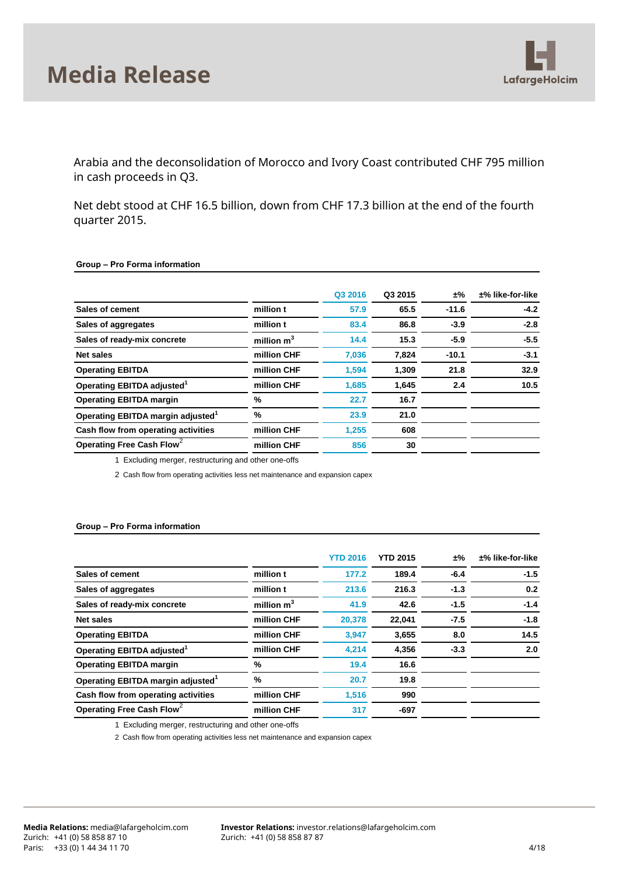

Arabia and the deconsolidation of Morocco and Ivory Coast contributed CHF 795 million in cash proceeds in Q3.

Net debt stood at CHF 16.5 billion, down from CHF 17.3 billion at the end of the fourth quarter 2015.

#### **Group – Pro Forma information**

|                                               |              | Q3 2016 | Q3 2015 | ±%      | $±%$ like-for-like |
|-----------------------------------------------|--------------|---------|---------|---------|--------------------|
| Sales of cement                               | million t    | 57.9    | 65.5    | $-11.6$ | $-4.2$             |
| Sales of aggregates                           | million t    | 83.4    | 86.8    | $-3.9$  | $-2.8$             |
| Sales of ready-mix concrete                   | million $m3$ | 14.4    | 15.3    | $-5.9$  | $-5.5$             |
| Net sales                                     | million CHF  | 7,036   | 7,824   | $-10.1$ | $-3.1$             |
| <b>Operating EBITDA</b>                       | million CHF  | 1,594   | 1,309   | 21.8    | 32.9               |
| Operating EBITDA adjusted <sup>1</sup>        | million CHF  | 1.685   | 1,645   | 2.4     | 10.5               |
| <b>Operating EBITDA margin</b>                | %            | 22.7    | 16.7    |         |                    |
| Operating EBITDA margin adjusted <sup>1</sup> | %            | 23.9    | 21.0    |         |                    |
| Cash flow from operating activities           | million CHF  | 1,255   | 608     |         |                    |
| Operating Free Cash Flow <sup>2</sup>         | million CHF  | 856     | 30      |         |                    |

1 Excluding merger, restructuring and other one-offs

2 Cash flow from operating activities less net maintenance and expansion capex

#### **Group – Pro Forma information**

|                                               |               | <b>YTD 2016</b> | <b>YTD 2015</b> | ±%     | $±%$ like-for-like |
|-----------------------------------------------|---------------|-----------------|-----------------|--------|--------------------|
| Sales of cement                               | million t     | 177.2           | 189.4           | $-6.4$ | $-1.5$             |
| Sales of aggregates                           | million t     | 213.6           | 216.3           | $-1.3$ | 0.2                |
| Sales of ready-mix concrete                   | million $m3$  | 41.9            | 42.6            | $-1.5$ | $-1.4$             |
| Net sales                                     | million CHF   | 20,378          | 22,041          | $-7.5$ | $-1.8$             |
| <b>Operating EBITDA</b>                       | million CHF   | 3,947           | 3,655           | 8.0    | 14.5               |
| Operating EBITDA adjusted <sup>1</sup>        | million CHF   | 4,214           | 4,356           | $-3.3$ | 2.0                |
| <b>Operating EBITDA margin</b>                | %             | 19.4            | 16.6            |        |                    |
| Operating EBITDA margin adjusted <sup>1</sup> | $\frac{9}{6}$ | 20.7            | 19.8            |        |                    |
| Cash flow from operating activities           | million CHF   | 1.516           | 990             |        |                    |
| Operating Free Cash Flow <sup>2</sup>         | million CHF   | 317             | $-697$          |        |                    |
|                                               |               |                 |                 |        |                    |

1 Excluding merger, restructuring and other one-offs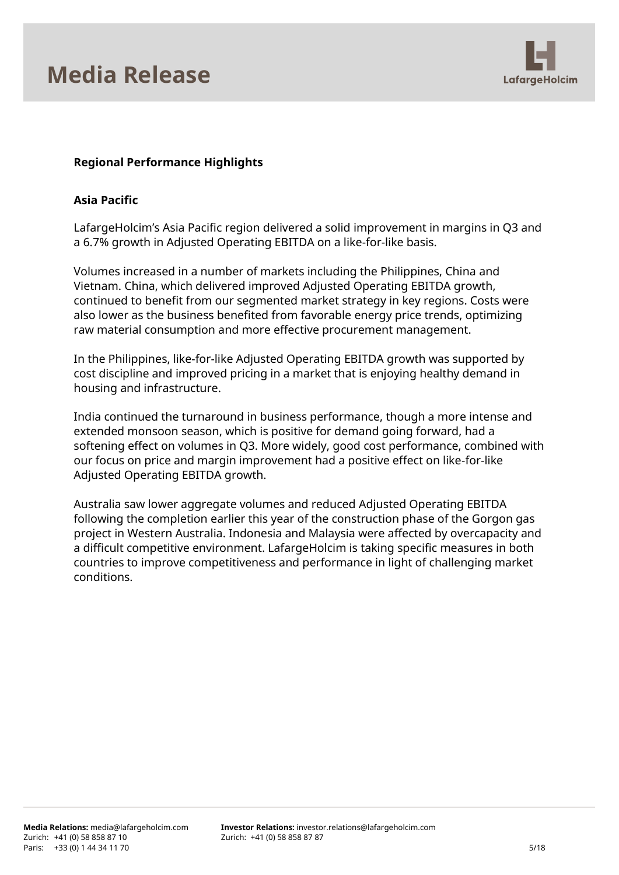

## **Regional Performance Highlights**

### **Asia Pacific**

LafargeHolcim's Asia Pacific region delivered a solid improvement in margins in Q3 and a 6.7% growth in Adjusted Operating EBITDA on a like-for-like basis.

Volumes increased in a number of markets including the Philippines, China and Vietnam. China, which delivered improved Adjusted Operating EBITDA growth, continued to benefit from our segmented market strategy in key regions. Costs were also lower as the business benefited from favorable energy price trends, optimizing raw material consumption and more effective procurement management.

In the Philippines, like-for-like Adjusted Operating EBITDA growth was supported by cost discipline and improved pricing in a market that is enjoying healthy demand in housing and infrastructure.

India continued the turnaround in business performance, though a more intense and extended monsoon season, which is positive for demand going forward, had a softening effect on volumes in Q3. More widely, good cost performance, combined with our focus on price and margin improvement had a positive effect on like-for-like Adjusted Operating EBITDA growth.

Australia saw lower aggregate volumes and reduced Adjusted Operating EBITDA following the completion earlier this year of the construction phase of the Gorgon gas project in Western Australia. Indonesia and Malaysia were affected by overcapacity and a difficult competitive environment. LafargeHolcim is taking specific measures in both countries to improve competitiveness and performance in light of challenging market conditions.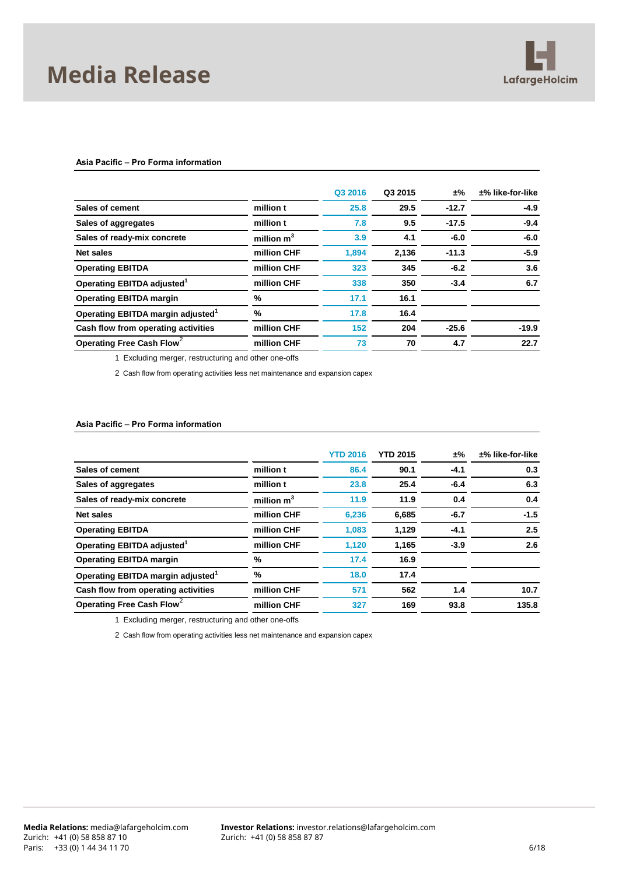

#### **Asia Pacific – Pro Forma information**

|                                               |              | Q3 2016 | Q3 2015 | ±%      | $±%$ like-for-like |
|-----------------------------------------------|--------------|---------|---------|---------|--------------------|
| Sales of cement                               | million t    | 25.8    | 29.5    | $-12.7$ | $-4.9$             |
| Sales of aggregates                           | million t    | 7.8     | 9.5     | $-17.5$ | $-9.4$             |
| Sales of ready-mix concrete                   | million $m3$ | 3.9     | 4.1     | $-6.0$  | $-6.0$             |
| Net sales                                     | million CHF  | 1,894   | 2,136   | $-11.3$ | $-5.9$             |
| <b>Operating EBITDA</b>                       | million CHF  | 323     | 345     | $-6.2$  | 3.6                |
| Operating EBITDA adjusted <sup>1</sup>        | million CHF  | 338     | 350     | $-3.4$  | 6.7                |
| <b>Operating EBITDA margin</b>                | %            | 17.1    | 16.1    |         |                    |
| Operating EBITDA margin adjusted <sup>1</sup> | %            | 17.8    | 16.4    |         |                    |
| Cash flow from operating activities           | million CHF  | 152     | 204     | $-25.6$ | $-19.9$            |
| Operating Free Cash Flow <sup>2</sup>         | million CHF  | 73      | 70      | 4.7     | 22.7               |
|                                               |              |         |         |         |                    |

1 Excluding merger, restructuring and other one-offs

2 Cash flow from operating activities less net maintenance and expansion capex

#### **Asia Pacific – Pro Forma information**

|                                               |              | <b>YTD 2016</b> | <b>YTD 2015</b> | ±%     | $±%$ like-for-like |
|-----------------------------------------------|--------------|-----------------|-----------------|--------|--------------------|
| Sales of cement                               | million t    | 86.4            | 90.1            | $-4.1$ | 0.3                |
| Sales of aggregates                           | million t    | 23.8            | 25.4            | $-6.4$ | 6.3                |
| Sales of ready-mix concrete                   | million $m3$ | 11.9            | 11.9            | 0.4    | 0.4                |
| Net sales                                     | million CHF  | 6,236           | 6,685           | $-6.7$ | $-1.5$             |
| <b>Operating EBITDA</b>                       | million CHF  | 1.083           | 1,129           | -4.1   | 2.5                |
| Operating EBITDA adjusted <sup>1</sup>        | million CHF  | 1,120           | 1,165           | $-3.9$ | 2.6                |
| <b>Operating EBITDA margin</b>                | %            | 17.4            | 16.9            |        |                    |
| Operating EBITDA margin adjusted <sup>1</sup> | %            | 18.0            | 17.4            |        |                    |
| Cash flow from operating activities           | million CHF  | 571             | 562             | 1.4    | 10.7               |
| Operating Free Cash Flow <sup>2</sup>         | million CHF  | 327             | 169             | 93.8   | 135.8              |

1 Excluding merger, restructuring and other one-offs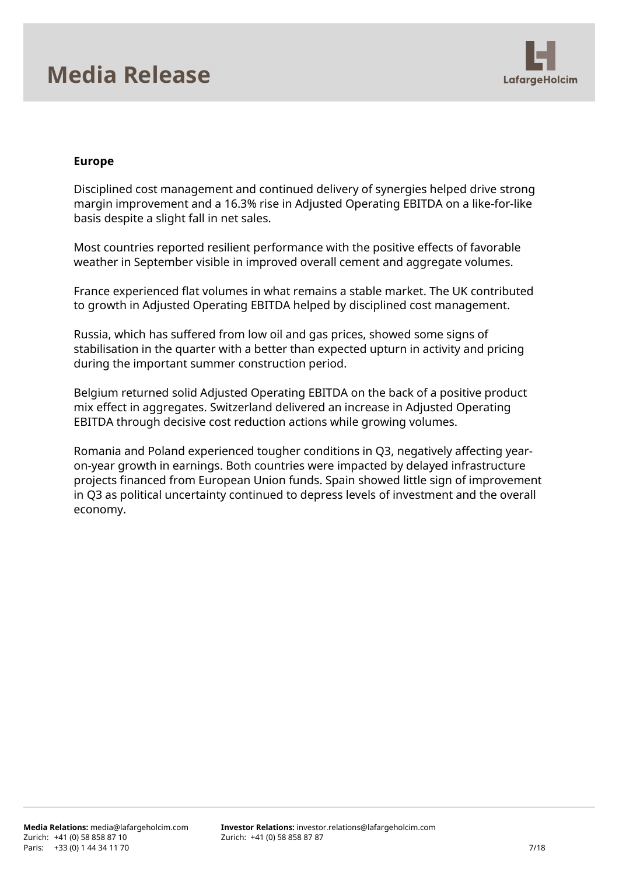

### **Europe**

Disciplined cost management and continued delivery of synergies helped drive strong margin improvement and a 16.3% rise in Adjusted Operating EBITDA on a like-for-like basis despite a slight fall in net sales.

Most countries reported resilient performance with the positive effects of favorable weather in September visible in improved overall cement and aggregate volumes.

France experienced flat volumes in what remains a stable market. The UK contributed to growth in Adjusted Operating EBITDA helped by disciplined cost management.

Russia, which has suffered from low oil and gas prices, showed some signs of stabilisation in the quarter with a better than expected upturn in activity and pricing during the important summer construction period.

Belgium returned solid Adjusted Operating EBITDA on the back of a positive product mix effect in aggregates. Switzerland delivered an increase in Adjusted Operating EBITDA through decisive cost reduction actions while growing volumes.

Romania and Poland experienced tougher conditions in Q3, negatively affecting yearon-year growth in earnings. Both countries were impacted by delayed infrastructure projects financed from European Union funds. Spain showed little sign of improvement in Q3 as political uncertainty continued to depress levels of investment and the overall economy.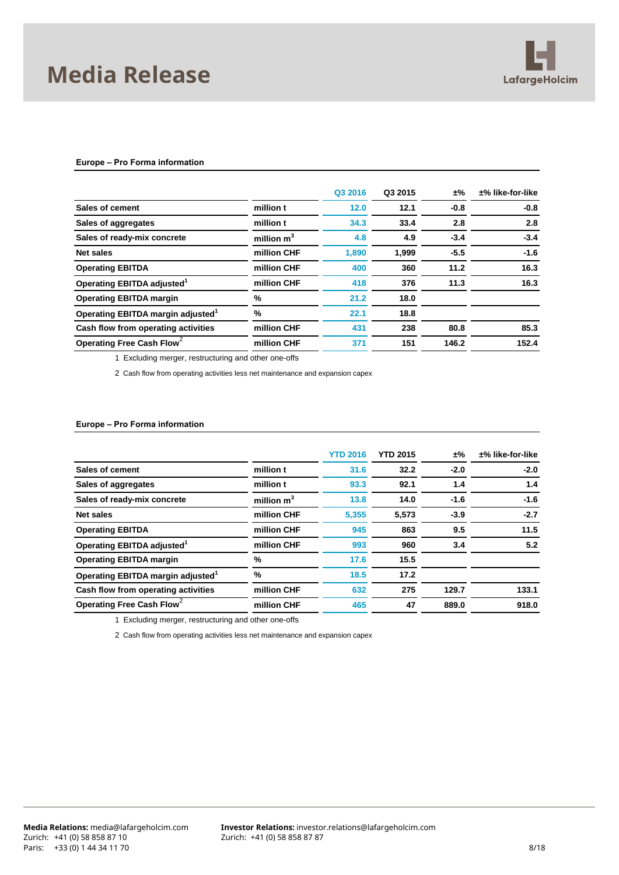

#### **Europe – Pro Forma information**

|                                               |              | Q3 2016 | Q3 2015 | ±%     | $±%$ like-for-like |
|-----------------------------------------------|--------------|---------|---------|--------|--------------------|
| Sales of cement                               | million t    | 12.0    | 12.1    | $-0.8$ | $-0.8$             |
| Sales of aggregates                           | million t    | 34.3    | 33.4    | 2.8    | 2.8                |
| Sales of ready-mix concrete                   | million $m3$ | 4.8     | 4.9     | $-3.4$ | $-3.4$             |
| Net sales                                     | million CHF  | 1,890   | 1,999   | $-5.5$ | $-1.6$             |
| <b>Operating EBITDA</b>                       | million CHF  | 400     | 360     | 11.2   | 16.3               |
| Operating EBITDA adjusted <sup>1</sup>        | million CHF  | 418     | 376     | 11.3   | 16.3               |
| <b>Operating EBITDA margin</b>                | %            | 21.2    | 18.0    |        |                    |
| Operating EBITDA margin adjusted <sup>1</sup> | %            | 22.1    | 18.8    |        |                    |
| Cash flow from operating activities           | million CHF  | 431     | 238     | 80.8   | 85.3               |
| Operating Free Cash Flow                      | million CHF  | 371     | 151     | 146.2  | 152.4              |
|                                               |              |         |         |        |                    |

1 Excluding merger, restructuring and other one-offs

2 Cash flow from operating activities less net maintenance and expansion capex

#### **Europe – Pro Forma information**

|              | <b>YTD 2016</b> | <b>YTD 2015</b> | ±%     | $±%$ like-for-like |
|--------------|-----------------|-----------------|--------|--------------------|
| million t    | 31.6            | 32.2            | $-2.0$ | $-2.0$             |
| million t    | 93.3            | 92.1            | 1.4    | 1.4                |
| million $m3$ | 13.8            | 14.0            | $-1.6$ | $-1.6$             |
| million CHF  | 5,355           | 5,573           | $-3.9$ | $-2.7$             |
| million CHF  | 945             | 863             | 9.5    | 11.5               |
| million CHF  | 993             | 960             | 3.4    | 5.2                |
| %            | 17.6            | 15.5            |        |                    |
| %            | 18.5            | 17.2            |        |                    |
| million CHF  | 632             | 275             | 129.7  | 133.1              |
| million CHF  | 465             | 47              | 889.0  | 918.0              |
|              |                 |                 |        |                    |

1 Excluding merger, restructuring and other one-offs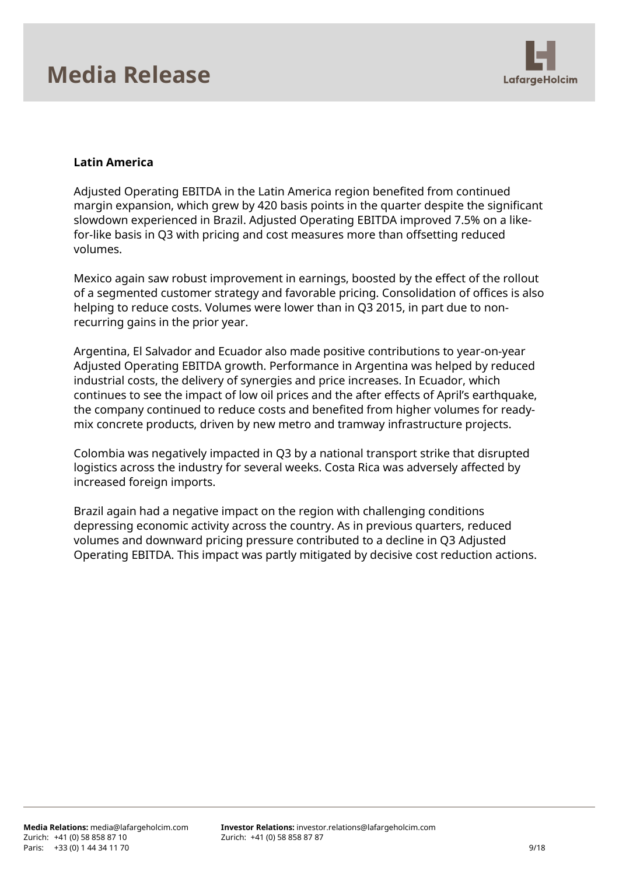

## **Latin America**

Adjusted Operating EBITDA in the Latin America region benefited from continued margin expansion, which grew by 420 basis points in the quarter despite the significant slowdown experienced in Brazil. Adjusted Operating EBITDA improved 7.5% on a likefor-like basis in Q3 with pricing and cost measures more than offsetting reduced volumes.

Mexico again saw robust improvement in earnings, boosted by the effect of the rollout of a segmented customer strategy and favorable pricing. Consolidation of offices is also helping to reduce costs. Volumes were lower than in Q3 2015, in part due to nonrecurring gains in the prior year.

Argentina, El Salvador and Ecuador also made positive contributions to year-on-year Adjusted Operating EBITDA growth. Performance in Argentina was helped by reduced industrial costs, the delivery of synergies and price increases. In Ecuador, which continues to see the impact of low oil prices and the after effects of April's earthquake, the company continued to reduce costs and benefited from higher volumes for readymix concrete products, driven by new metro and tramway infrastructure projects.

Colombia was negatively impacted in Q3 by a national transport strike that disrupted logistics across the industry for several weeks. Costa Rica was adversely affected by increased foreign imports.

Brazil again had a negative impact on the region with challenging conditions depressing economic activity across the country. As in previous quarters, reduced volumes and downward pricing pressure contributed to a decline in Q3 Adjusted Operating EBITDA. This impact was partly mitigated by decisive cost reduction actions.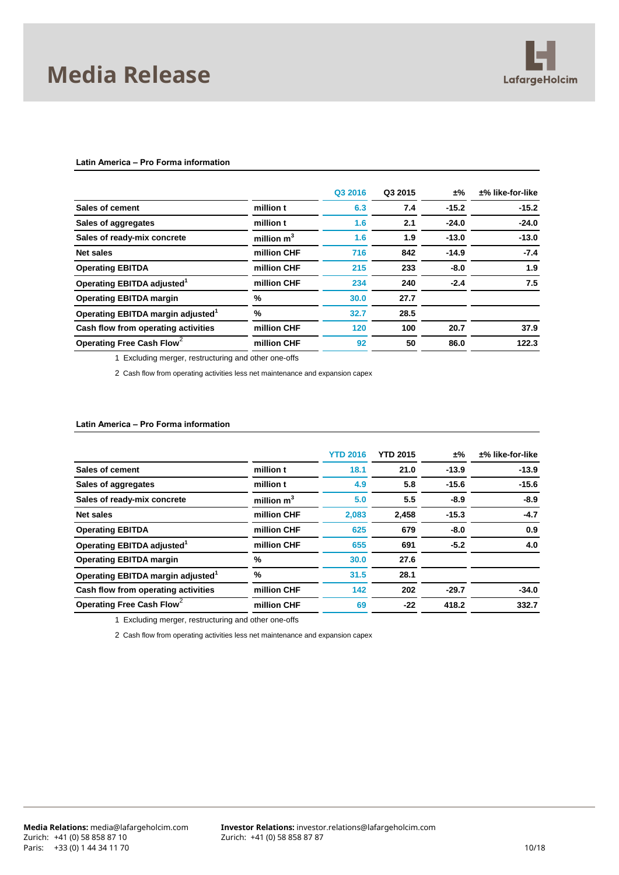

#### **Latin America – Pro Forma information**

|                                               |              | Q3 2016 | Q3 2015 | ±%      | $±%$ like-for-like |
|-----------------------------------------------|--------------|---------|---------|---------|--------------------|
| Sales of cement                               | million t    | 6.3     | 7.4     | $-15.2$ | $-15.2$            |
| Sales of aggregates                           | million t    | 1.6     | 2.1     | $-24.0$ | $-24.0$            |
| Sales of ready-mix concrete                   | million $m3$ | 1.6     | 1.9     | $-13.0$ | $-13.0$            |
| Net sales                                     | million CHF  | 716     | 842     | $-14.9$ | $-7.4$             |
| <b>Operating EBITDA</b>                       | million CHF  | 215     | 233     | $-8.0$  | 1.9                |
| Operating EBITDA adjusted <sup>1</sup>        | million CHF  | 234     | 240     | $-2.4$  | 7.5                |
| <b>Operating EBITDA margin</b>                | %            | 30.0    | 27.7    |         |                    |
| Operating EBITDA margin adjusted <sup>1</sup> | %            | 32.7    | 28.5    |         |                    |
| Cash flow from operating activities           | million CHF  | 120     | 100     | 20.7    | 37.9               |
| Operating Free Cash Flow <sup>2</sup>         | million CHF  | 92      | 50      | 86.0    | 122.3              |
|                                               |              |         |         |         |                    |

1 Excluding merger, restructuring and other one-offs

2 Cash flow from operating activities less net maintenance and expansion capex

#### **Latin America – Pro Forma information**

|                                               |              | <b>YTD 2016</b> | <b>YTD 2015</b> | ±%      | $±%$ like-for-like |
|-----------------------------------------------|--------------|-----------------|-----------------|---------|--------------------|
| Sales of cement                               | million t    | 18.1            | 21.0            | $-13.9$ | $-13.9$            |
| Sales of aggregates                           | million t    | 4.9             | 5.8             | $-15.6$ | $-15.6$            |
| Sales of ready-mix concrete                   | million $m3$ | 5.0             | 5.5             | $-8.9$  | $-8.9$             |
| Net sales                                     | million CHF  | 2,083           | 2,458           | $-15.3$ | $-4.7$             |
| <b>Operating EBITDA</b>                       | million CHF  | 625             | 679             | $-8.0$  | 0.9                |
| Operating EBITDA adjusted <sup>1</sup>        | million CHF  | 655             | 691             | $-5.2$  | 4.0                |
| <b>Operating EBITDA margin</b>                | %            | 30.0            | 27.6            |         |                    |
| Operating EBITDA margin adjusted <sup>1</sup> | %            | 31.5            | 28.1            |         |                    |
| Cash flow from operating activities           | million CHF  | 142             | 202             | $-29.7$ | $-34.0$            |
| Operating Free Cash Flow <sup>2</sup>         | million CHF  | 69              | $-22$           | 418.2   | 332.7              |
|                                               |              |                 |                 |         |                    |

1 Excluding merger, restructuring and other one-offs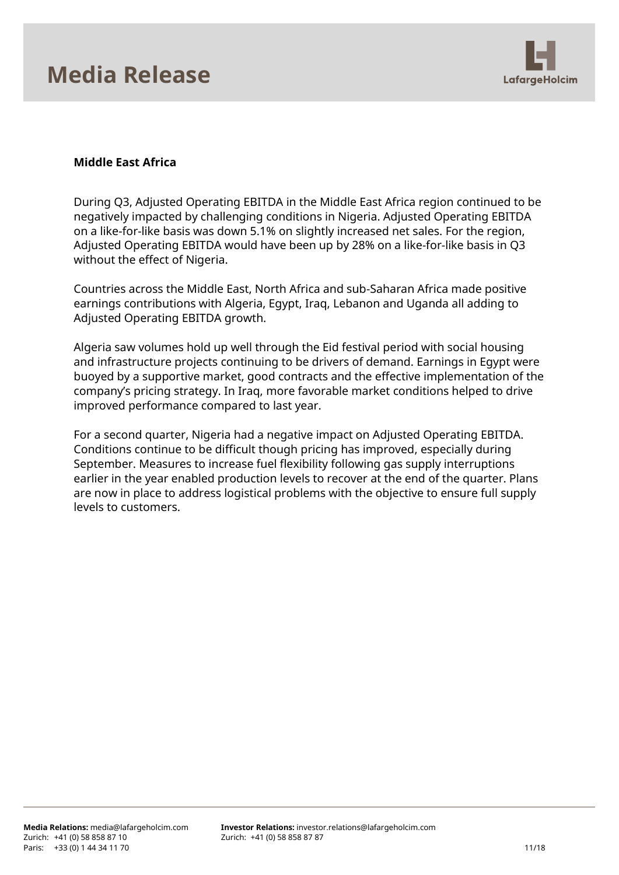

## **Middle East Africa**

During Q3, Adjusted Operating EBITDA in the Middle East Africa region continued to be negatively impacted by challenging conditions in Nigeria. Adjusted Operating EBITDA on a like-for-like basis was down 5.1% on slightly increased net sales. For the region, Adjusted Operating EBITDA would have been up by 28% on a like-for-like basis in Q3 without the effect of Nigeria.

Countries across the Middle East, North Africa and sub-Saharan Africa made positive earnings contributions with Algeria, Egypt, Iraq, Lebanon and Uganda all adding to Adjusted Operating EBITDA growth.

Algeria saw volumes hold up well through the Eid festival period with social housing and infrastructure projects continuing to be drivers of demand. Earnings in Egypt were buoyed by a supportive market, good contracts and the effective implementation of the company's pricing strategy. In Iraq, more favorable market conditions helped to drive improved performance compared to last year.

For a second quarter, Nigeria had a negative impact on Adjusted Operating EBITDA. Conditions continue to be difficult though pricing has improved, especially during September. Measures to increase fuel flexibility following gas supply interruptions earlier in the year enabled production levels to recover at the end of the quarter. Plans are now in place to address logistical problems with the objective to ensure full supply levels to customers.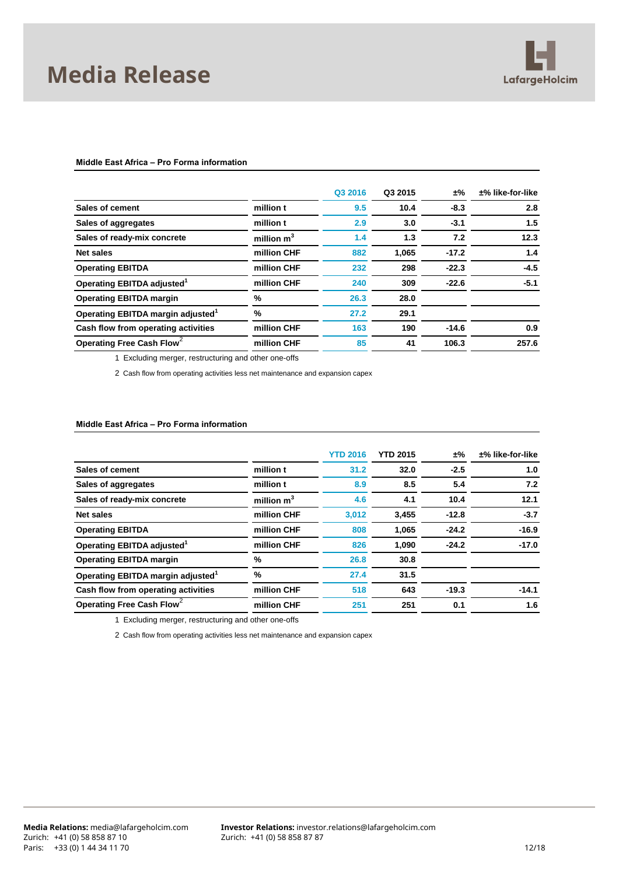

#### **Middle East Africa – Pro Forma information**

|                                               |              | Q3 2016 | Q3 2015 | ±%      | $±%$ like-for-like |
|-----------------------------------------------|--------------|---------|---------|---------|--------------------|
| Sales of cement                               | million t    | 9.5     | 10.4    | $-8.3$  | 2.8                |
| Sales of aggregates                           | million t    | 2.9     | 3.0     | $-3.1$  | 1.5                |
| Sales of ready-mix concrete                   | million $m3$ | 1.4     | 1.3     | 7.2     | 12.3               |
| Net sales                                     | million CHF  | 882     | 1,065   | $-17.2$ | 1.4                |
| <b>Operating EBITDA</b>                       | million CHF  | 232     | 298     | $-22.3$ | $-4.5$             |
| Operating EBITDA adjusted <sup>1</sup>        | million CHF  | 240     | 309     | $-22.6$ | $-5.1$             |
| <b>Operating EBITDA margin</b>                | %            | 26.3    | 28.0    |         |                    |
| Operating EBITDA margin adjusted <sup>1</sup> | %            | 27.2    | 29.1    |         |                    |
| Cash flow from operating activities           | million CHF  | 163     | 190     | $-14.6$ | 0.9                |
| Operating Free Cash Flow <sup>2</sup>         | million CHF  | 85      | 41      | 106.3   | 257.6              |
|                                               |              |         |         |         |                    |

1 Excluding merger, restructuring and other one-offs

2 Cash flow from operating activities less net maintenance and expansion capex

#### **Middle East Africa – Pro Forma information**

|                                               |              | <b>YTD 2016</b> | <b>YTD 2015</b> | ±%      | $±%$ like-for-like |
|-----------------------------------------------|--------------|-----------------|-----------------|---------|--------------------|
| Sales of cement                               | million t    | 31.2            | 32.0            | $-2.5$  | 1.0                |
| Sales of aggregates                           | million t    | 8.9             | 8.5             | 5.4     | 7.2                |
| Sales of ready-mix concrete                   | million $m3$ | 4.6             | 4.1             | 10.4    | 12.1               |
| Net sales                                     | million CHF  | 3,012           | 3,455           | $-12.8$ | $-3.7$             |
| <b>Operating EBITDA</b>                       | million CHF  | 808             | 1,065           | $-24.2$ | $-16.9$            |
| Operating EBITDA adjusted <sup>1</sup>        | million CHF  | 826             | 1,090           | $-24.2$ | $-17.0$            |
| <b>Operating EBITDA margin</b>                | %            | 26.8            | 30.8            |         |                    |
| Operating EBITDA margin adjusted <sup>1</sup> | %            | 27.4            | 31.5            |         |                    |
| Cash flow from operating activities           | million CHF  | 518             | 643             | $-19.3$ | $-14.1$            |
| Operating Free Cash Flow <sup>2</sup>         | million CHF  | 251             | 251             | 0.1     | 1.6                |
|                                               |              |                 |                 |         |                    |

1 Excluding merger, restructuring and other one-offs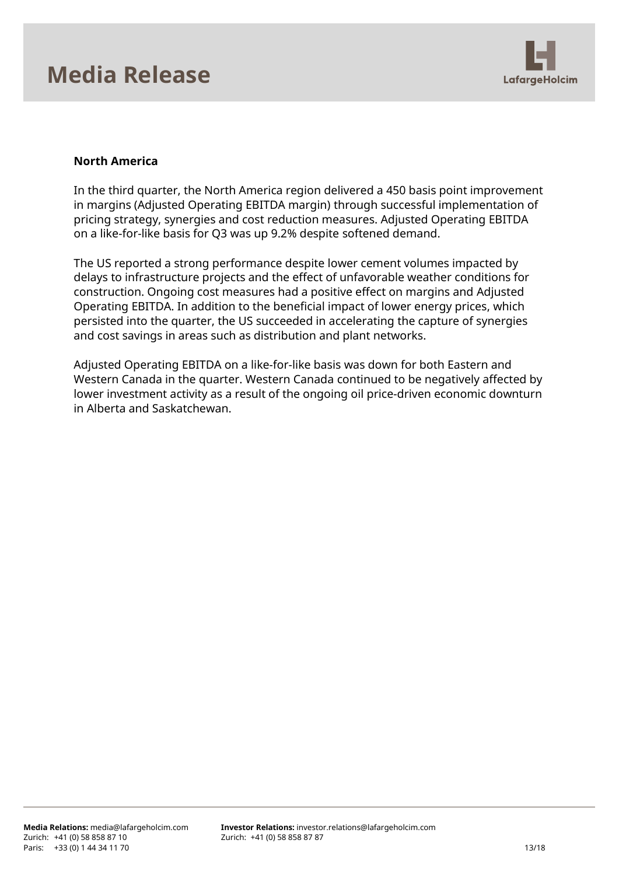

## **North America**

In the third quarter, the North America region delivered a 450 basis point improvement in margins (Adjusted Operating EBITDA margin) through successful implementation of pricing strategy, synergies and cost reduction measures. Adjusted Operating EBITDA on a like-for-like basis for Q3 was up 9.2% despite softened demand.

The US reported a strong performance despite lower cement volumes impacted by delays to infrastructure projects and the effect of unfavorable weather conditions for construction. Ongoing cost measures had a positive effect on margins and Adjusted Operating EBITDA. In addition to the beneficial impact of lower energy prices, which persisted into the quarter, the US succeeded in accelerating the capture of synergies and cost savings in areas such as distribution and plant networks.

Adjusted Operating EBITDA on a like-for-like basis was down for both Eastern and Western Canada in the quarter. Western Canada continued to be negatively affected by lower investment activity as a result of the ongoing oil price-driven economic downturn in Alberta and Saskatchewan.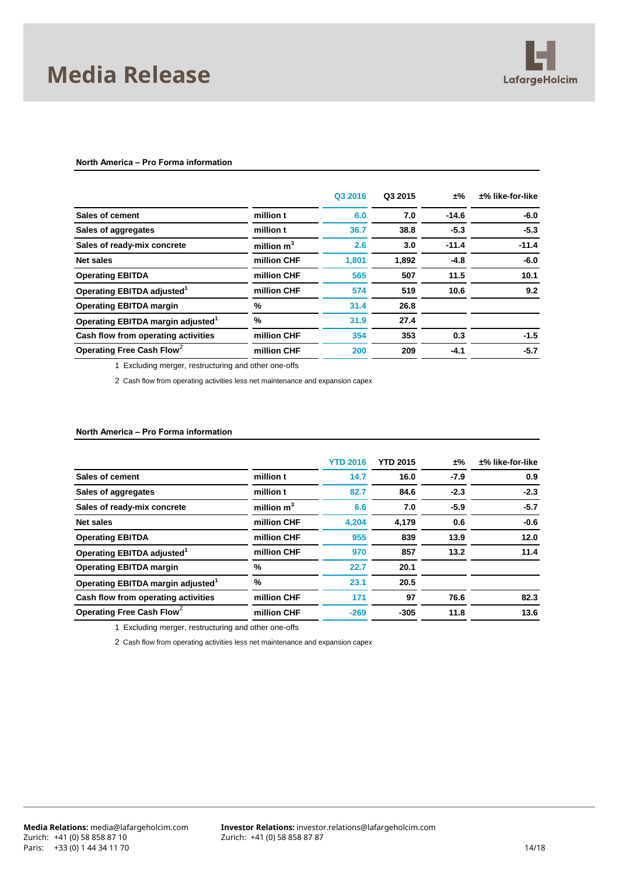

#### **North America – Pro Forma information**

|                                               |              | Q3 2016 | Q3 2015 | ±%      | $±%$ like-for-like |
|-----------------------------------------------|--------------|---------|---------|---------|--------------------|
| Sales of cement                               | million t    | 6.0     | 7.0     | $-14.6$ | $-6.0$             |
| Sales of aggregates                           | million t    | 36.7    | 38.8    | $-5.3$  | $-5.3$             |
| Sales of ready-mix concrete                   | million $m3$ | 2.6     | 3.0     | $-11.4$ | $-11.4$            |
| Net sales                                     | million CHF  | 1,801   | 1,892   | $-4.8$  | $-6.0$             |
| <b>Operating EBITDA</b>                       | million CHF  | 565     | 507     | 11.5    | 10.1               |
| Operating EBITDA adjusted <sup>1</sup>        | million CHF  | 574     | 519     | 10.6    | 9.2                |
| <b>Operating EBITDA margin</b>                | %            | 31.4    | 26.8    |         |                    |
| Operating EBITDA margin adjusted <sup>1</sup> | %            | 31.9    | 27.4    |         |                    |
| Cash flow from operating activities           | million CHF  | 354     | 353     | 0.3     | $-1.5$             |
| Operating Free Cash Flow <sup>2</sup>         | million CHF  | 200     | 209     | $-4.1$  | $-5.7$             |
|                                               |              |         |         |         |                    |

1 Excluding merger, restructuring and other one-offs

2 Cash flow from operating activities less net maintenance and expansion capex

#### **North America – Pro Forma information**

|                                               |              | <b>YTD 2016</b> | <b>YTD 2015</b> | ±%     | $±%$ like-for-like |
|-----------------------------------------------|--------------|-----------------|-----------------|--------|--------------------|
| Sales of cement                               | million t    | 14.7            | 16.0            | $-7.9$ | 0.9                |
| Sales of aggregates                           | million t    | 82.7            | 84.6            | $-2.3$ | $-2.3$             |
| Sales of ready-mix concrete                   | million $m3$ | 6.6             | 7.0             | $-5.9$ | $-5.7$             |
| <b>Net sales</b>                              | million CHF  | 4.204           | 4.179           | 0.6    | $-0.6$             |
| <b>Operating EBITDA</b>                       | million CHF  | 955             | 839             | 13.9   | 12.0               |
| Operating EBITDA adjusted <sup>1</sup>        | million CHF  | 970             | 857             | 13.2   | 11.4               |
| <b>Operating EBITDA margin</b>                | %            | 22.7            | 20.1            |        |                    |
| Operating EBITDA margin adjusted <sup>1</sup> | %            | 23.1            | 20.5            |        |                    |
| Cash flow from operating activities           | million CHF  | 171             | 97              | 76.6   | 82.3               |
| Operating Free Cash Flow <sup>2</sup>         | million CHF  | $-269$          | $-305$          | 11.8   | 13.6               |
|                                               |              |                 |                 |        |                    |

1 Excluding merger, restructuring and other one-offs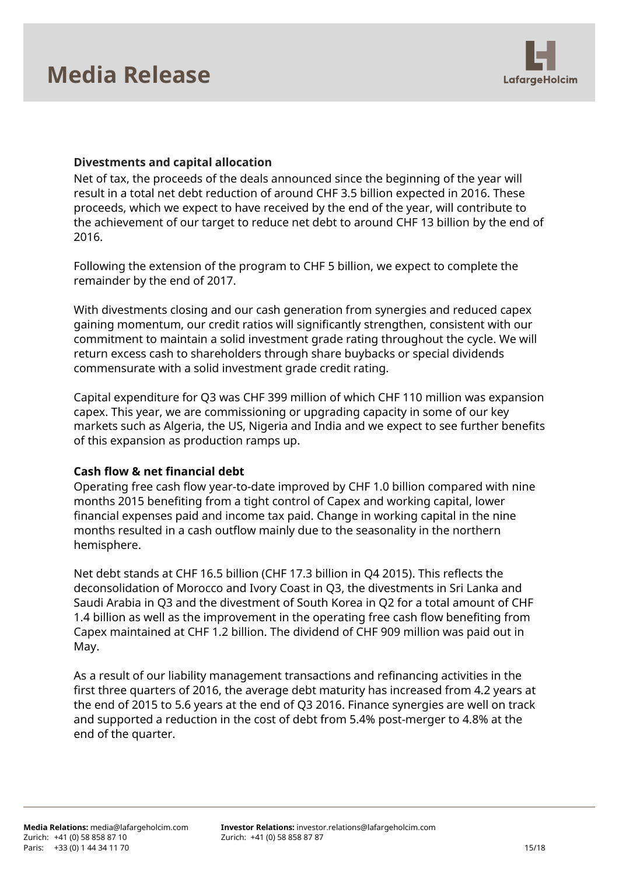

## **Divestments and capital allocation**

Net of tax, the proceeds of the deals announced since the beginning of the year will result in a total net debt reduction of around CHF 3.5 billion expected in 2016. These proceeds, which we expect to have received by the end of the year, will contribute to the achievement of our target to reduce net debt to around CHF 13 billion by the end of 2016.

Following the extension of the program to CHF 5 billion, we expect to complete the remainder by the end of 2017.

With divestments closing and our cash generation from synergies and reduced capex gaining momentum, our credit ratios will significantly strengthen, consistent with our commitment to maintain a solid investment grade rating throughout the cycle. We will return excess cash to shareholders through share buybacks or special dividends commensurate with a solid investment grade credit rating.

Capital expenditure for Q3 was CHF 399 million of which CHF 110 million was expansion capex. This year, we are commissioning or upgrading capacity in some of our key markets such as Algeria, the US, Nigeria and India and we expect to see further benefits of this expansion as production ramps up.

## **Cash flow & net financial debt**

Operating free cash flow year-to-date improved by CHF 1.0 billion compared with nine months 2015 benefiting from a tight control of Capex and working capital, lower financial expenses paid and income tax paid. Change in working capital in the nine months resulted in a cash outflow mainly due to the seasonality in the northern hemisphere.

Net debt stands at CHF 16.5 billion (CHF 17.3 billion in Q4 2015). This reflects the deconsolidation of Morocco and Ivory Coast in Q3, the divestments in Sri Lanka and Saudi Arabia in Q3 and the divestment of South Korea in Q2 for a total amount of CHF 1.4 billion as well as the improvement in the operating free cash flow benefiting from Capex maintained at CHF 1.2 billion. The dividend of CHF 909 million was paid out in May.

As a result of our liability management transactions and refinancing activities in the first three quarters of 2016, the average debt maturity has increased from 4.2 years at the end of 2015 to 5.6 years at the end of Q3 2016. Finance synergies are well on track and supported a reduction in the cost of debt from 5.4% post-merger to 4.8% at the end of the quarter.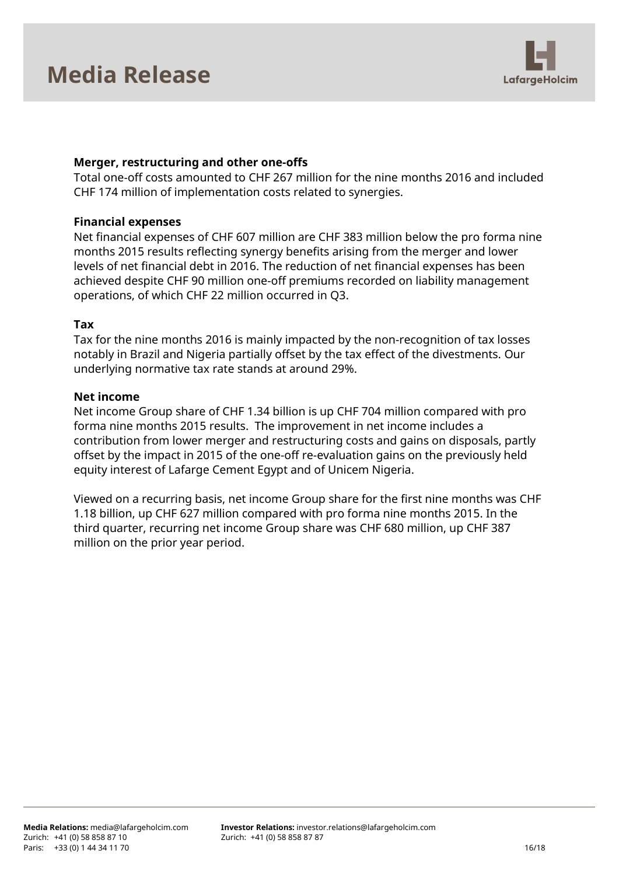

## **Merger, restructuring and other one-offs**

Total one-off costs amounted to CHF 267 million for the nine months 2016 and included CHF 174 million of implementation costs related to synergies.

### **Financial expenses**

Net financial expenses of CHF 607 million are CHF 383 million below the pro forma nine months 2015 results reflecting synergy benefits arising from the merger and lower levels of net financial debt in 2016. The reduction of net financial expenses has been achieved despite CHF 90 million one-off premiums recorded on liability management operations, of which CHF 22 million occurred in Q3.

### **Tax**

Tax for the nine months 2016 is mainly impacted by the non-recognition of tax losses notably in Brazil and Nigeria partially offset by the tax effect of the divestments. Our underlying normative tax rate stands at around 29%.

### **Net income**

Net income Group share of CHF 1.34 billion is up CHF 704 million compared with pro forma nine months 2015 results. The improvement in net income includes a contribution from lower merger and restructuring costs and gains on disposals, partly offset by the impact in 2015 of the one-off re-evaluation gains on the previously held equity interest of Lafarge Cement Egypt and of Unicem Nigeria.

Viewed on a recurring basis, net income Group share for the first nine months was CHF 1.18 billion, up CHF 627 million compared with pro forma nine months 2015. In the third quarter, recurring net income Group share was CHF 680 million, up CHF 387 million on the prior year period.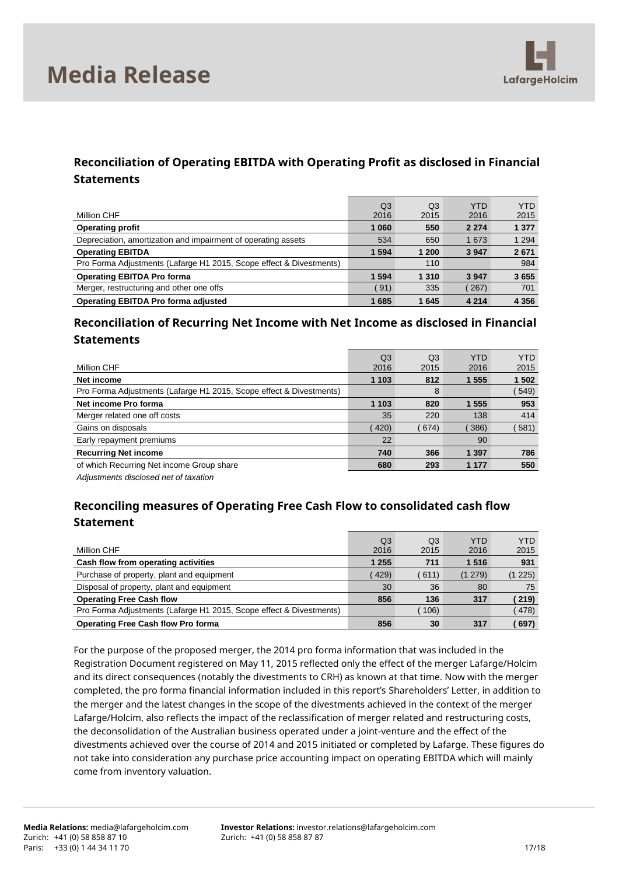

## **Reconciliation of Operating EBITDA with Operating Profit as disclosed in Financial Statements**

| Million CHF                                                         | Q <sub>3</sub><br>2016 | Q <sub>3</sub><br>2015 | <b>YTD</b><br>2016 | <b>YTD</b><br>2015 |
|---------------------------------------------------------------------|------------------------|------------------------|--------------------|--------------------|
| <b>Operating profit</b>                                             | 1 0 6 0                | 550                    | 2 2 7 4            | 1 3 7 7            |
| Depreciation, amortization and impairment of operating assets       | 534                    | 650                    | 1 673              | 1 2 9 4            |
| <b>Operating EBITDA</b>                                             | 1 5 9 4                | 1 200                  | 3 9 4 7            | 2671               |
| Pro Forma Adjustments (Lafarge H1 2015, Scope effect & Divestments) |                        | 110                    |                    | 984                |
| <b>Operating EBITDA Pro forma</b>                                   | 1 5 9 4                | 1 3 1 0                | 3947               | 3655               |
| Merger, restructuring and other one offs                            | 91)                    | 335                    | 267                | 701                |
| Operating EBITDA Pro forma adjusted                                 | 1685                   | 1645                   | 4 2 1 4            | 4 3 5 6            |

## **Reconciliation of Recurring Net Income with Net Income as disclosed in Financial Statements**

|                                                                     | Q <sub>3</sub> | Q <sub>3</sub> | YTD     | <b>YTD</b> |
|---------------------------------------------------------------------|----------------|----------------|---------|------------|
| Million CHF                                                         | 2016           | 2015           | 2016    | 2015       |
| Net income                                                          | 1 103          | 812            | 1 555   | 1 502      |
| Pro Forma Adjustments (Lafarge H1 2015, Scope effect & Divestments) |                | 8              |         | 549)       |
| Net income Pro forma                                                | 1 103          | 820            | 1 555   | 953        |
| Merger related one off costs                                        | 35             | 220            | 138     | 414        |
| Gains on disposals                                                  | 420)           | 674)           | 386)    | 581)       |
| Early repayment premiums                                            | 22             |                | 90      |            |
| <b>Recurring Net income</b>                                         | 740            | 366            | 1 3 9 7 | 786        |
| of which Recurring Net income Group share                           | 680            | 293            | 1 1 7 7 | 550        |
|                                                                     |                |                |         |            |

*Adjustments disclosed net of taxation*

## **Reconciling measures of Operating Free Cash Flow to consolidated cash flow Statement**

|                                                                     | Q3      | Q3   | YTD     | <b>YTD</b> |
|---------------------------------------------------------------------|---------|------|---------|------------|
| Million CHF                                                         | 2016    | 2015 | 2016    | 2015       |
| Cash flow from operating activities                                 | 1 2 5 5 | 711  | 1516    | 931        |
| Purchase of property, plant and equipment                           | 429)    | 611) | (1 279) | (1225)     |
| Disposal of property, plant and equipment                           | 30      | 36   | 80      | 75         |
| <b>Operating Free Cash flow</b>                                     | 856     | 136  | 317     | 219)       |
| Pro Forma Adjustments (Lafarge H1 2015, Scope effect & Divestments) |         | 106) |         | 478)       |
| <b>Operating Free Cash flow Pro forma</b>                           | 856     | 30   | 317     | 697)       |

For the purpose of the proposed merger, the 2014 pro forma information that was included in the Registration Document registered on May 11, 2015 reflected only the effect of the merger Lafarge/Holcim and its direct consequences (notably the divestments to CRH) as known at that time. Now with the merger completed, the pro forma financial information included in this report's Shareholders' Letter, in addition to the merger and the latest changes in the scope of the divestments achieved in the context of the merger Lafarge/Holcim, also reflects the impact of the reclassification of merger related and restructuring costs, the deconsolidation of the Australian business operated under a joint-venture and the effect of the divestments achieved over the course of 2014 and 2015 initiated or completed by Lafarge. These figures do not take into consideration any purchase price accounting impact on operating EBITDA which will mainly come from inventory valuation.